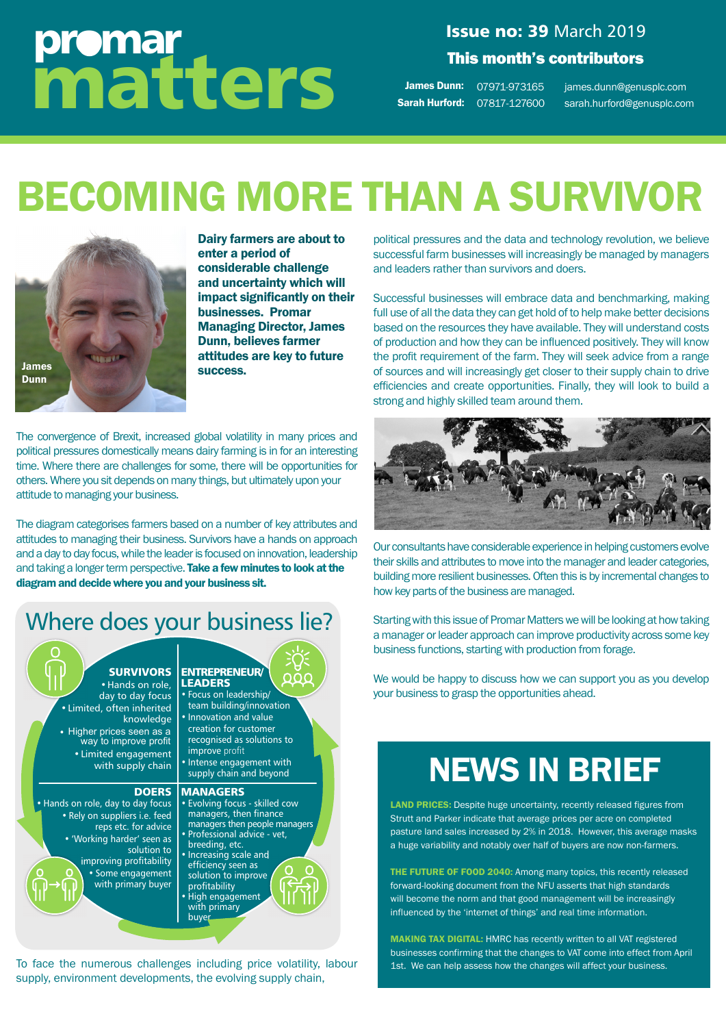# promar matters

#### **Issue no: 39 March 2019** This month's contributors

**James Dunn:** 07971-973165 Sarah Hurford: 07817-127600 james.dunn@genusplc.com 07817-127600 sarah.hurford@genusplc.com

# BECOMING MORE THAN A SURVIVOR



Dairy farmers are about to enter a period of considerable challenge and uncertainty which will impact significantly on their businesses. Promar Managing Director, James Dunn, believes farmer attitudes are key to future success.

The convergence of Brexit, increased global volatility in many prices and political pressures domestically means dairy farming is in for an interesting time. Where there are challenges for some, there will be opportunities for others. Where you sit depends on many things, but ultimately upon your attitude to managing your business.

The diagram categorises farmers based on a number of key attributes and attitudes to managing their business. Survivors have a hands on approach and a day to day focus, while the leader is focused on innovation, leadership and taking a longer term perspective. Take a few minutes to look at the diagram and decide where you and your business sit.

### Where does your business lie?



To face the numerous challenges including price volatility, labour supply, environment developments, the evolving supply chain,

political pressures and the data and technology revolution, we believe successful farm businesses will increasingly be managed by managers and leaders rather than survivors and doers.

Successful businesses will embrace data and benchmarking, making full use of all the data they can get hold of to help make better decisions based on the resources they have available. They will understand costs of production and how they can be influenced positively. They will know the profit requirement of the farm. They will seek advice from a range of sources and will increasingly get closer to their supply chain to drive efficiencies and create opportunities. Finally, they will look to build a strong and highly skilled team around them.



Our consultants have considerable experience in helping customers evolve their skills and attributes to move into the manager and leader categories, building more resilient businesses. Often this is by incremental changes to how key parts of the business are managed.

Starting with this issue of Promar Matters we will be looking at how taking a manager or leader approach can improve productivity across some key business functions, starting with production from forage.

We would be happy to discuss how we can support you as you develop your business to grasp the opportunities ahead.

## NEWS IN BRIEF

LAND PRICES: Despite huge uncertainty, recently released figures from Strutt and Parker indicate that average prices per acre on completed pasture land sales increased by 2% in 2018. However, this average masks a huge variability and notably over half of buyers are now non-farmers.

THE FUTURE OF FOOD 2040: Among many topics, this recently released forward-looking document from the NFU asserts that high standards will become the norm and that good management will be increasingly influenced by the 'internet of things' and real time information.

MAKING TAX DIGITAL: HMRC has recently written to all VAT registered businesses confirming that the changes to VAT come into effect from April 1st. We can help assess how the changes will affect your business.